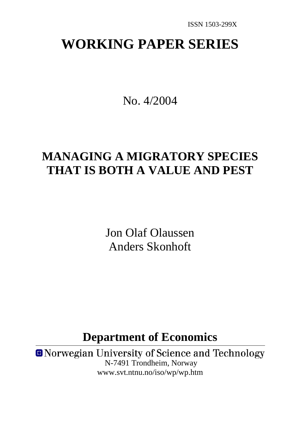ISSN 1503-299X

# **WORKING PAPER SERIES**

No. 4/2004

# **MANAGING A MIGRATORY SPECIES THAT IS BOTH A VALUE AND PEST**

Jon Olaf Olaussen Anders Skonhoft

# **Department of Economics**

**O** Norwegian University of Science and Technology N-7491 Trondheim, Norway www.svt.ntnu.no/iso/wp/wp.htm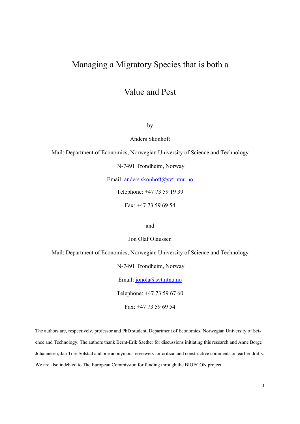# Managing a Migratory Species that is both a

# Value and Pest

by

#### Anders Skonhoft

Mail: Department of Economics, Norwegian University of Science and Technology

N-7491 Trondheim, Norway

Email: anders.skonhoft@svt.ntnu.no

Telephone: +47 73 59 19 39

Fax: +47 73 59 69 54

and

Jon Olaf Olaussen

Mail: Department of Economics, Norwegian University of Science and Technology

 N-7491 Trondheim, Norway Email: jonola@svt.ntnu.no Telephone: +47 73 59 67 60 Fax: +47 73 59 69 54

The authors are, respectively, professor and PhD student, Department of Economics, Norwegian University of Science and Technology. The authors thank Bernt-Erik Saether for discussions initiating this research and Anne Borge Johannesen, Jan Tore Solstad and one anonymous reviewers for critical and constructive comments on earlier drafts. We are also indebted to The European Commission for funding through the BIOECON project.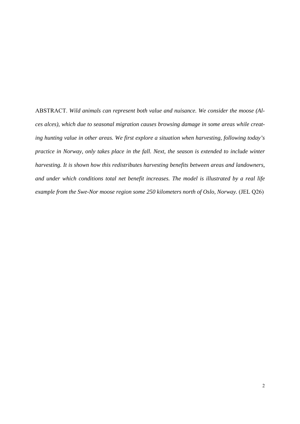ABSTRACT. *Wild animals can represent both value and nuisance. We consider the moose (Alces alces), which due to seasonal migration causes browsing damage in some areas while creating hunting value in other areas. We first explore a situation when harvesting, following today's practice in Norway, only takes place in the fall. Next, the season is extended to include winter harvesting. It is shown how this redistributes harvesting benefits between areas and landowners, and under which conditions total net benefit increases. The model is illustrated by a real life example from the Swe-Nor moose region some 250 kilometers north of Oslo, Norway.* (JEL Q26)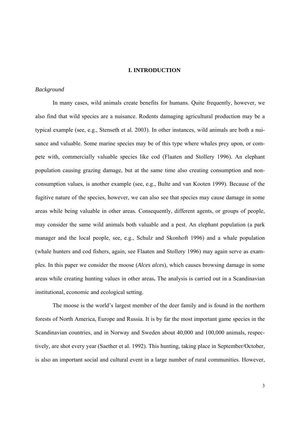## **I. INTRODUCTION**

#### *Background*

In many cases, wild animals create benefits for humans. Quite frequently, however, we also find that wild species are a nuisance. Rodents damaging agricultural production may be a typical example (see, e.g., Stenseth et al. 2003). In other instances, wild animals are both a nuisance and valuable. Some marine species may be of this type where whales prey upon, or compete with, commercially valuable species like cod (Flaaten and Stollery 1996). An elephant population causing grazing damage, but at the same time also creating consumption and nonconsumption values, is another example (see, e.g., Bulte and van Kooten 1999). Because of the fugitive nature of the species, however, we can also see that species may cause damage in some areas while being valuable in other areas. Consequently, different agents, or groups of people, may consider the same wild animals both valuable and a pest. An elephant population (a park manager and the local people, see, e.g., Schulz and Skonhoft 1996) and a whale population (whale hunters and cod fishers, again, see Flaaten and Stollery 1996) may again serve as examples. In this paper we consider the moose (*Alces alces*), which causes browsing damage in some areas while creating hunting values in other areas**.** The analysis is carried out in a Scandinavian institutional, economic and ecological setting.

The moose is the world's largest member of the deer family and is found in the northern forests of North America, Europe and Russia. It is by far the most important game species in the Scandinavian countries, and in Norway and Sweden about 40,000 and 100,000 animals, respectively, are shot every year (Saether et al. 1992). This hunting, taking place in September/October, is also an important social and cultural event in a large number of rural communities. However,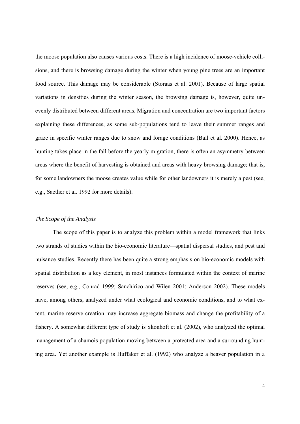the moose population also causes various costs. There is a high incidence of moose-vehicle collisions, and there is browsing damage during the winter when young pine trees are an important food source. This damage may be considerable (Storaas et al. 2001). Because of large spatial variations in densities during the winter season, the browsing damage is, however, quite unevenly distributed between different areas. Migration and concentration are two important factors explaining these differences, as some sub-populations tend to leave their summer ranges and graze in specific winter ranges due to snow and forage conditions (Ball et al. 2000). Hence, as hunting takes place in the fall before the yearly migration, there is often an asymmetry between areas where the benefit of harvesting is obtained and areas with heavy browsing damage; that is, for some landowners the moose creates value while for other landowners it is merely a pest (see, e.g., Saether et al. 1992 for more details).

#### *The Scope of the Analysis*

The scope of this paper is to analyze this problem within a model framework that links two strands of studies within the bio-economic literature—spatial dispersal studies, and pest and nuisance studies. Recently there has been quite a strong emphasis on bio-economic models with spatial distribution as a key element, in most instances formulated within the context of marine reserves (see, e.g., Conrad 1999; Sanchirico and Wilen 2001; Anderson 2002). These models have, among others, analyzed under what ecological and economic conditions, and to what extent, marine reserve creation may increase aggregate biomass and change the profitability of a fishery. A somewhat different type of study is Skonhoft et al. (2002), who analyzed the optimal management of a chamois population moving between a protected area and a surrounding hunting area. Yet another example is Huffaker et al. (1992) who analyze a beaver population in a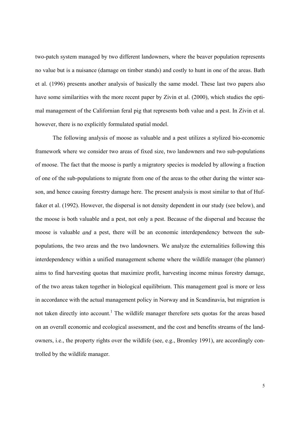two-patch system managed by two different landowners, where the beaver population represents no value but is a nuisance (damage on timber stands) and costly to hunt in one of the areas. Bath et al. (1996) presents another analysis of basically the same model. These last two papers also have some similarities with the more recent paper by Zivin et al. (2000), which studies the optimal management of the Californian feral pig that represents both value and a pest. In Zivin et al. however, there is no explicitly formulated spatial model.

The following analysis of moose as valuable and a pest utilizes a stylized bio-economic framework where we consider two areas of fixed size, two landowners and two sub-populations of moose. The fact that the moose is partly a migratory species is modeled by allowing a fraction of one of the sub-populations to migrate from one of the areas to the other during the winter season, and hence causing forestry damage here. The present analysis is most similar to that of Huffaker et al. (1992). However, the dispersal is not density dependent in our study (see below), and the moose is both valuable and a pest, not only a pest. Because of the dispersal and because the moose is valuable *and* a pest, there will be an economic interdependency between the subpopulations, the two areas and the two landowners. We analyze the externalities following this interdependency within a unified management scheme where the wildlife manager (the planner) aims to find harvesting quotas that maximize profit, harvesting income minus forestry damage, of the two areas taken together in biological equilibrium. This management goal is more or less in accordance with the actual management policy in Norway and in Scandinavia, but migration is not taken directly into account.<sup>1</sup> The wildlife manager therefore sets quotas for the areas based on an overall economic and ecological assessment, and the cost and benefits streams of the landowners, i.e., the property rights over the wildlife (see, e.g., Bromley 1991), are accordingly controlled by the wildlife manager.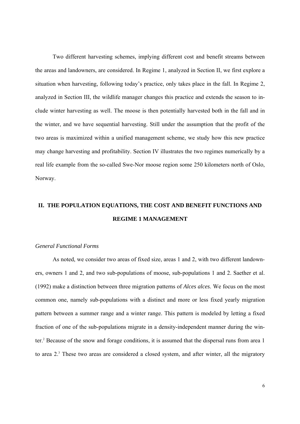Two different harvesting schemes, implying different cost and benefit streams between the areas and landowners, are considered. In Regime 1, analyzed in Section II, we first explore a situation when harvesting, following today's practice, only takes place in the fall. In Regime 2, analyzed in Section III, the wildlife manager changes this practice and extends the season to include winter harvesting as well. The moose is then potentially harvested both in the fall and in the winter, and we have sequential harvesting. Still under the assumption that the profit of the two areas is maximized within a unified management scheme, we study how this new practice may change harvesting and profitability. Section IV illustrates the two regimes numerically by a real life example from the so-called Swe-Nor moose region some 250 kilometers north of Oslo, Norway.

# **II. THE POPULATION EQUATIONS, THE COST AND BENEFIT FUNCTIONS AND REGIME 1 MANAGEMENT**

#### *General Functional Forms*

As noted, we consider two areas of fixed size, areas 1 and 2, with two different landowners, owners 1 and 2, and two sub-populations of moose, sub-populations 1 and 2. Saether et al. (1992) make a distinction between three migration patterns of *Alces alces*. We focus on the most common one, namely sub-populations with a distinct and more or less fixed yearly migration pattern between a summer range and a winter range. This pattern is modeled by letting a fixed fraction of one of the sub-populations migrate in a density-independent manner during the winter.<sup>2</sup> Because of the snow and forage conditions, it is assumed that the dispersal runs from area 1 to area 2.<sup>3</sup> These two areas are considered a closed system, and after winter, all the migratory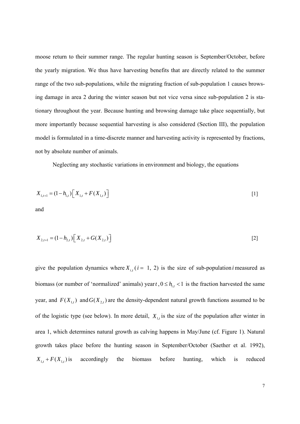moose return to their summer range. The regular hunting season is September/October, before the yearly migration. We thus have harvesting benefits that are directly related to the summer range of the two sub-populations, while the migrating fraction of sub-population 1 causes browsing damage in area 2 during the winter season but not vice versa since sub-population 2 is stationary throughout the year. Because hunting and browsing damage take place sequentially, but more importantly because sequential harvesting is also considered (Section III), the population model is formulated in a time-discrete manner and harvesting activity is represented by fractions, not by absolute number of animals.

Neglecting any stochastic variations in environment and biology, the equations

$$
X_{1,t+1} = (1 - h_{1,t}) \left[ X_{1,t} + F(X_{1,t}) \right] \tag{1}
$$

and

$$
X_{2,t+1} = (1 - h_{2,t}) \left[ X_{2,t} + G(X_{2,t}) \right] \tag{2}
$$

give the population dynamics where  $X_{i,t}$  ( $i = 1, 2$ ) is the size of sub-population *i* measured as biomass (or number of 'normalized' animals) year  $t$ ,  $0 \le h_{i,t} < 1$  is the fraction harvested the same year, and  $F(X_{1,t})$  and  $G(X_{2,t})$  are the density-dependent natural growth functions assumed to be of the logistic type (see below). In more detail,  $X_{1,t}$  is the size of the population after winter in area 1, which determines natural growth as calving happens in May/June (cf. Figure 1). Natural growth takes place before the hunting season in September/October (Saether et al. 1992),  $X_{1,t}$  +  $F(X_{1,t})$  is accordingly the biomass before hunting, which is reduced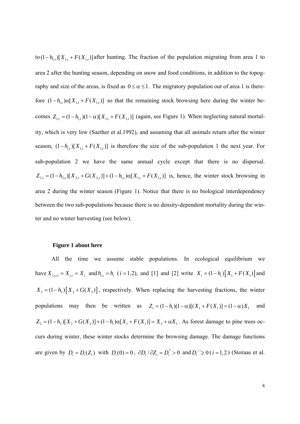to  $(1 - h_{1,t})[X_{1,t} + F(X_{1,t})]$  after hunting. The fraction of the population migrating from area 1 to area 2 after the hunting season, depending on snow and food conditions, in addition to the topography and size of the areas, is fixed as  $0 \le \alpha \le 1$ . The migratory population out of area 1 is therefore  $(1 - h_{1,t}) \alpha [X_{1,t} + F(X_{1,t})]$  so that the remaining stock browsing here during the winter becomes  $Z_{1,t} = (1 - h_{1,t})(1 - \alpha)[X_{1,t} + F(X_{1,t})]$  (again, see Figure 1). When neglecting natural mortality, which is very low (Saether et al.1992), and assuming that all animals return after the winter season,  $(1 - h_{1,t})[X_{1,t} + F(X_{1,t})]$  is therefore the size of the sub-population 1 the next year. For sub-population 2 we have the same annual cycle except that there is no dispersal.  $Z_{2,t} = (1 - h_{2,t})[X_{2,t} + G(X_{2,t})] + (1 - h_{1,t})\alpha[X_{1,t} + F(X_{1,t})]$  is, hence, the winter stock browsing in area 2 during the winter season (Figure 1). Notice that there is no biological interdependency between the two sub-populations because there is no density-dependent mortality during the winter and no winter harvesting (see below).

#### **Figure 1 about here**

 All the time we assume stable populations. In ecological equilibrium we have  $X_{i,t+1} = X_{i,t} = X_i$  and  $h_{i,t} = h_i$  (*i* = 1,2), and [1] and [2] write  $X_1 = (1 - h_1) [X_1 + F(X_1)]$  and  $X_2 = (1 - h_2) [X_2 + G(X_2)]$ , respectively. When replacing the harvesting fractions, the winter populations may then be written as  $Z_1 = (1 - h_1)(1 - \alpha)[(X_1 + F(X_1)] = (1 - \alpha)X_1$  and  $Z_2 = (1 - h_2)[X_2 + G(X_2)] + (1 - h_1)\alpha[X_1 + F(X_1)] = X_2 + \alpha X_1$ . As forest damage to pine trees occurs during winter, these winter stocks determine the browsing damage. The damage functions are given by  $D_i = D_i(Z_i)$  with  $D_i(0) = 0$ ,  $\partial D_i / \partial Z_i = D'_i > 0$  and  $D'_i \ge 0$  (*i* = 1, 2) (Storaas et al.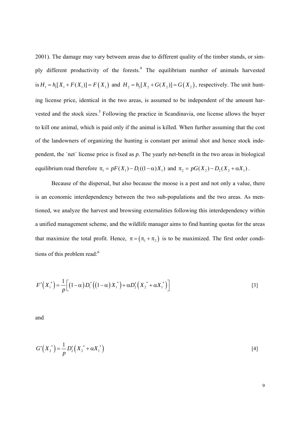2001). The damage may vary between areas due to different quality of the timber stands, or simply different productivity of the forests.<sup>4</sup> The equilibrium number of animals harvested is  $H_1 = h_1[X_1 + F(X_1)] = F(X_1)$  and  $H_2 = h_2[X_2 + G(X_2)] = G(X_2)$ , respectively. The unit hunting license price, identical in the two areas, is assumed to be independent of the amount harvested and the stock sizes.<sup>5</sup> Following the practice in Scandinavia, one license allows the buyer to kill one animal, which is paid only if the animal is killed. When further assuming that the cost of the landowners of organizing the hunting is constant per animal shot and hence stock independent, the ´net´ license price is fixed as *p*. The yearly net-benefit in the two areas in biological equilibrium read therefore  $\pi_1 = pF(X_1) - D_1((1 - \alpha)X_1)$  and  $\pi_2 = pG(X_2) - D_2(X_2 + \alpha X_1)$ .

 Because of the dispersal, but also because the moose is a pest and not only a value, there is an economic interdependency between the two sub-populations and the two areas. As mentioned, we analyze the harvest and browsing externalities following this interdependency within a unified management scheme, and the wildlife manager aims to find hunting quotas for the areas that maximize the total profit. Hence,  $\pi = (\pi_1 + \pi_2)$  is to be maximized. The first order conditions of this problem read:<sup>6</sup>

$$
F'\left(X_1^*\right) = \frac{1}{p}\left[\left(1-\alpha\right)D_1'\left(\left(1-\alpha\right)X_1^*\right) + \alpha D_2'\left(X_2^* + \alpha X_1^*\right)\right]
$$
\n[3]

and

$$
G'\left(X_2^*\right) = \frac{1}{p} D_2'\left(X_2^* + \alpha X_1^*\right) \tag{4}
$$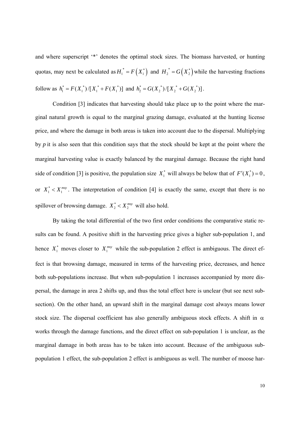and where superscript '\*' denotes the optimal stock sizes. The biomass harvested, or hunting quotas, may next be calculated as  $H_1^* = F(X_1^*)$  and  $H_2^* = G(X_2^*)$  while the harvesting fractions follow as  $h_1^* = F(X_1^*)/[X_1^* + F(X_1^*)]$  and  $h_2^* = G(X_2^*)/[X_2^* + G(X_2^*)]$ .

Condition [3] indicates that harvesting should take place up to the point where the marginal natural growth is equal to the marginal grazing damage, evaluated at the hunting license price, and where the damage in both areas is taken into account due to the dispersal. Multiplying by *p* it is also seen that this condition says that the stock should be kept at the point where the marginal harvesting value is exactly balanced by the marginal damage. Because the right hand side of condition [3] is positive, the population size  $X_1^*$  will always be below that of  $F'(X_1^*)=0$ , or  $X_1^* < X_1^{\text{msy}}$ . The interpretation of condition [4] is exactly the same, except that there is no spillover of browsing damage.  $X_2^* < X_2^{msy}$  will also hold.

By taking the total differential of the two first order conditions the comparative static results can be found. A positive shift in the harvesting price gives a higher sub-population 1, and hence  $X_1^*$  moves closer to  $X_1^{msy}$  while the sub-population 2 effect is ambiguous. The direct effect is that browsing damage, measured in terms of the harvesting price, decreases, and hence both sub-populations increase. But when sub-population 1 increases accompanied by more dispersal, the damage in area 2 shifts up, and thus the total effect here is unclear (but see next subsection). On the other hand, an upward shift in the marginal damage cost always means lower stock size. The dispersal coefficient has also generally ambiguous stock effects. A shift in  $\alpha$ works through the damage functions, and the direct effect on sub-population 1 is unclear, as the marginal damage in both areas has to be taken into account. Because of the ambiguous subpopulation 1 effect, the sub-population 2 effect is ambiguous as well. The number of moose har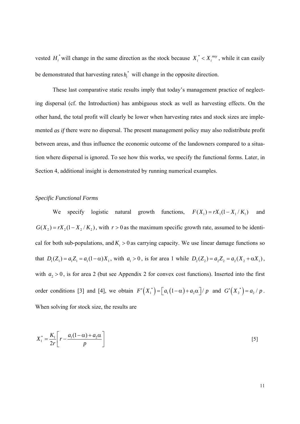vested  $H_i^*$  will change in the same direction as the stock because  $X_i^* < X_i^{\text{msy}}$ , while it can easily be demonstrated that harvesting rates  $h_i^*$  will change in the opposite direction.

These last comparative static results imply that today's management practice of neglecting dispersal (cf. the Introduction) has ambiguous stock as well as harvesting effects. On the other hand, the total profit will clearly be lower when harvesting rates and stock sizes are implemented *as if* there were no dispersal. The present management policy may also redistribute profit between areas, and thus influence the economic outcome of the landowners compared to a situation where dispersal is ignored. To see how this works, we specify the functional forms. Later, in Section 4, additional insight is demonstrated by running numerical examples.

#### *Specific Functional Forms*

We specify logistic natural growth functions,  $F(X_1) = rX_1(1 - X_1/K_1)$  and  $G(X_2) = rX_2(1 - X_2/K_2)$ , with  $r > 0$  as the maximum specific growth rate, assumed to be identical for both sub-populations, and  $K<sub>i</sub> > 0$  as carrying capacity. We use linear damage functions so that  $D_1(Z_1) = a_1 Z_1 = a_1 (1 - \alpha) X_1$ , with  $a_1 > 0$ , is for area 1 while  $D_2(Z_2) = a_2 Z_2 = a_2 (X_2 + \alpha X_1)$ , with  $a_2 > 0$ , is for area 2 (but see Appendix 2 for convex cost functions). Inserted into the first order conditions [3] and [4], we obtain  $F'(X_1^*) = [a_1(1-\alpha) + a_2\alpha]/p$  and  $G'(X_2^*) = a_2/p$ . When solving for stock size, the results are

$$
X_1^* = \frac{K_1}{2r} \left[ r - \frac{a_1(1-\alpha) + a_2\alpha}{p} \right]
$$
 [5]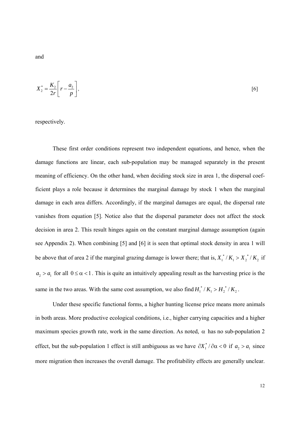and

$$
X_2^* = \frac{K_2}{2r} \left[ r - \frac{a_2}{p} \right],\tag{6}
$$

respectively.

These first order conditions represent two independent equations, and hence, when the damage functions are linear, each sub-population may be managed separately in the present meaning of efficiency. On the other hand, when deciding stock size in area 1, the dispersal coefficient plays a role because it determines the marginal damage by stock 1 when the marginal damage in each area differs. Accordingly, if the marginal damages are equal, the dispersal rate vanishes from equation [5]. Notice also that the dispersal parameter does not affect the stock decision in area 2. This result hinges again on the constant marginal damage assumption (again see Appendix 2). When combining [5] and [6] it is seen that optimal stock density in area 1 will be above that of area 2 if the marginal grazing damage is lower there; that is,  $X_1^* / K_1 > X_2^* / K_2$  if  $a_2 > a_1$  for all  $0 \le \alpha < 1$ . This is quite an intuitively appealing result as the harvesting price is the same in the two areas. With the same cost assumption, we also find  $H_1^* / K_1 > H_2^* / K_2$ .

Under these specific functional forms, a higher hunting license price means more animals in both areas. More productive ecological conditions, i.e., higher carrying capacities and a higher maximum species growth rate, work in the same direction. As noted,  $\alpha$  has no sub-population 2 effect, but the sub-population 1 effect is still ambiguous as we have  $\partial X_1^* / \partial \alpha < 0$  if  $a_2 > a_1$  since more migration then increases the overall damage. The profitability effects are generally unclear.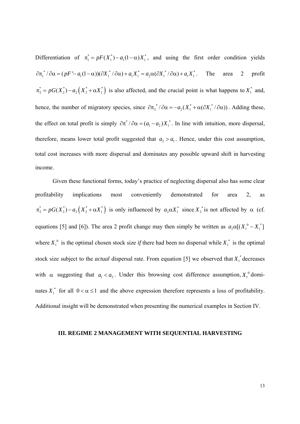Differentiation of  $\pi_1^* = pF(X_1^*) - a_1(1-\alpha)X_1^*$ , and using the first order condition yields  $\partial \pi_1^* / \partial \alpha = (pF' - a_1(1-\alpha))(\partial X_1^* / \partial \alpha) + a_1 X_1^* = a_2 \alpha (\partial X_1^* / \partial \alpha) + a_1 X_1^*$ . The area 2 profit  $\pi_2^* = pG(X_2^*) - a_2(X_2^* + \alpha X_1^*)$  is also affected, and the crucial point is what happens to  $X_1^*$  and, hence, the number of migratory species, since  $\partial \pi_2^* / \partial \alpha = -a_2(X_1^* + \alpha(\partial X_1^* / \partial \alpha))$ . Adding these, the effect on total profit is simply  $\partial \pi^* / \partial \alpha = (a_1 - a_2)X_1^*$ . In line with intuition, more dispersal, therefore, means lower total profit suggested that  $a_2 > a_1$ . Hence, under this cost assumption, total cost increases with more dispersal and dominates any possible upward shift in harvesting income.

Given these functional forms, today's practice of neglecting dispersal also has some clear profitability implications most conveniently demonstrated for area 2, as  $\pi_2^* = pG(X_2^*) - a_2(X_2^* + \alpha X_1^*)$  is only influenced by  $a_2 \alpha X_1^*$  since  $X_2^*$  is not affected by  $\alpha$  (cf. equations [5] and [6]). The area 2 profit change may then simply be written as  $a_2\alpha[(X_1^0 - X_1^*)]$ where  $X_1^0$  is the optimal chosen stock size *if* there had been no dispersal while  $X_1^*$  is the optimal stock size subject to the *actual* dispersal rate. From equation [5] we observed that  $X_1^*$  decreases with  $\alpha$  suggesting that  $a_1 < a_2$ . Under this browsing cost difference assumption,  $X_1^0$  dominates  $X_1^*$  for all  $0 < \alpha \leq 1$  and the above expression therefore represents a loss of profitability. Additional insight will be demonstrated when presenting the numerical examples in Section IV.

#### **III. REGIME 2 MANAGEMENT WITH SEQUENTIAL HARVESTING**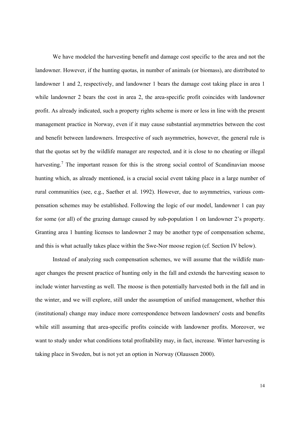We have modeled the harvesting benefit and damage cost specific to the area and not the landowner. However, if the hunting quotas, in number of animals (or biomass), are distributed to landowner 1 and 2, respectively, and landowner 1 bears the damage cost taking place in area 1 while landowner 2 bears the cost in area 2, the area-specific profit coincides with landowner profit. As already indicated, such a property rights scheme is more or less in line with the present management practice in Norway, even if it may cause substantial asymmetries between the cost and benefit between landowners. Irrespective of such asymmetries, however, the general rule is that the quotas set by the wildlife manager are respected, and it is close to no cheating or illegal harvesting.<sup>7</sup> The important reason for this is the strong social control of Scandinavian moose hunting which, as already mentioned, is a crucial social event taking place in a large number of rural communities (see, e.g., Saether et al. 1992). However, due to asymmetries, various compensation schemes may be established. Following the logic of our model, landowner 1 can pay for some (or all) of the grazing damage caused by sub-population 1 on landowner 2's property. Granting area 1 hunting licenses to landowner 2 may be another type of compensation scheme, and this is what actually takes place within the Swe-Nor moose region (cf. Section IV below).

Instead of analyzing such compensation schemes, we will assume that the wildlife manager changes the present practice of hunting only in the fall and extends the harvesting season to include winter harvesting as well. The moose is then potentially harvested both in the fall and in the winter, and we will explore, still under the assumption of unified management, whether this (institutional) change may induce more correspondence between landowners' costs and benefits while still assuming that area-specific profits coincide with landowner profits. Moreover, we want to study under what conditions total profitability may, in fact, increase. Winter harvesting is taking place in Sweden, but is not yet an option in Norway (Olaussen 2000).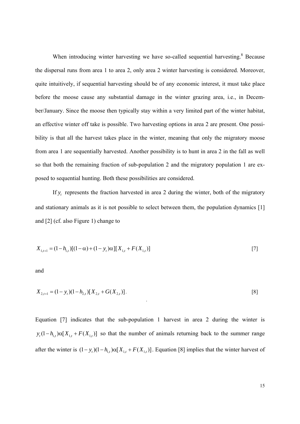When introducing winter harvesting we have so-called sequential harvesting.<sup>8</sup> Because the dispersal runs from area 1 to area 2, only area 2 winter harvesting is considered. Moreover, quite intuitively, if sequential harvesting should be of any economic interest, it must take place before the moose cause any substantial damage in the winter grazing area, i.e., in December/January. Since the moose then typically stay within a very limited part of the winter habitat, an effective winter off take is possible. Two harvesting options in area 2 are present. One possibility is that all the harvest takes place in the winter, meaning that only the migratory moose from area 1 are sequentially harvested. Another possibility is to hunt in area 2 in the fall as well so that both the remaining fraction of sub-population 2 and the migratory population 1 are exposed to sequential hunting. Both these possibilities are considered.

If  $y_t$  represents the fraction harvested in area 2 during the winter, both of the migratory and stationary animals as it is not possible to select between them, the population dynamics [1] and [2] (cf. also Figure 1) change to

$$
X_{1,t+1} = (1 - h_{1,t})[(1 - \alpha) + (1 - y_t)\alpha][X_{1,t} + F(X_{1,t})]
$$
\n<sup>(7)</sup>

and

$$
X_{2,t+1} = (1 - y_t)(1 - h_{2,t})[X_{2,t} + G(X_{2,t})].
$$
\n<sup>[8]</sup>

.

Equation [7] indicates that the sub-population 1 harvest in area 2 during the winter is  $y_t (1 - h_{t,t}) \alpha [X_{t,t} + F(X_{t,t})]$  so that the number of animals returning back to the summer range after the winter is  $(1 - y_t)(1 - h_{1,t})\alpha[X_{1,t} + F(X_{1,t})]$ . Equation [8] implies that the winter harvest of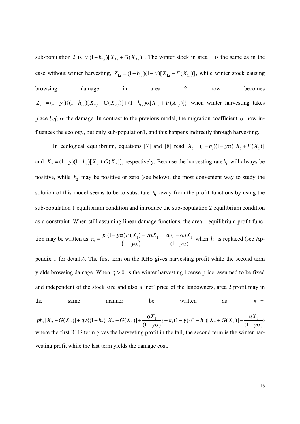sub-population 2 is  $y_t(1 - h_{2,t})[X_{2,t} + G(X_{2,t})]$ . The winter stock in area 1 is the same as in the case without winter harvesting,  $Z_{1,t} = (1 - h_{1,t})(1 - \alpha)[X_{1,t} + F(X_{1,t})]$ , while winter stock causing browsing damage in area 2 now becomes  $Z_{2,t} = (1 - y_t) \{ (1 - h_{2,t}) [X_{2,t} + G(X_{2,t})] + (1 - h_{1,t}) \alpha [X_{1,t} + F(X_{1,t})] \}$  when winter harvesting takes place *before* the damage. In contrast to the previous model, the migration coefficient  $\alpha$  now influences the ecology, but only sub-population1, and this happens indirectly through harvesting.

In ecological equilibrium, equations [7] and [8] read  $X_1 = (1 - h_1)(1 - y\alpha)[X_1 + F(X_1)]$ and  $X_2 = (1 - y)(1 - h_2)[X_2 + G(X_2)]$ , respectively. Because the harvesting rate  $h_1$  will always be positive, while  $h_2$  may be positive or zero (see below), the most convenient way to study the solution of this model seems to be to substitute  $h_1$  away from the profit functions by using the sub-population 1 equilibrium condition and introduce the sub-population 2 equilibrium condition as a constraint. When still assuming linear damage functions, the area 1 equilibrium profit function may be written as  $\pi_1 = \frac{p[(1 - y\alpha)F(X_1) - y\alpha X_1]}{(1 - y\alpha)} - \frac{a_1(1 - \alpha)X_1}{(1 - y\alpha)}$  $1 - y\alpha$   $(1 - y\alpha)$  $\pi_1 = \frac{p[(1 - y\alpha)F(X_1) - y\alpha X_1]}{(1 - y\alpha)} - \frac{a_1(1 - \alpha)X_1}{(1 - y\alpha)}$  when  $h_1$  is replaced (see Appendix 1 for details). The first term on the RHS gives harvesting profit while the second term yields browsing damage. When  $q > 0$  is the winter harvesting license price, assumed to be fixed and independent of the stock size and also a 'net' price of the landowners, area 2 profit may in the same manner be written as  $\pi_2 =$  $ph_2[X_2+G(X_2)]+qy\{(1-h_2)[X_2+G(X_2)]+\frac{\alpha X_1}{(1-y\alpha)}\}-a_2(1-y)\{(1-h_2)[X_2+G(X_2)]+\frac{\alpha X_1}{(1-y\alpha)}\}$  $y\alpha$ <sup>2</sup>  $(1-y)$  $+ G(X_2)] + qy\{(1-h_2)[X_2+G(X_2)]+\frac{\alpha X_1}{(1-y\alpha)}\}-a_2(1-y)\{(1-h_2)[X_2+G(X_2)]+\frac{\alpha X_1}{(1-y\alpha)}\}$ where the first RHS term gives the harvesting profit in the fall, the second term is the winter harvesting profit while the last term yields the damage cost.

16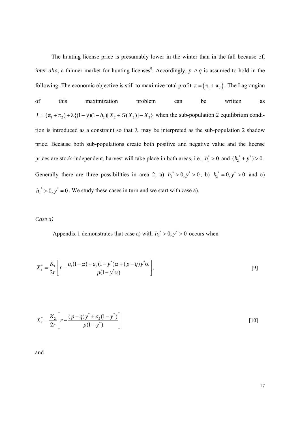The hunting license price is presumably lower in the winter than in the fall because of, *inter alia*, a thinner market for hunting licenses<sup>9</sup>. Accordingly,  $p \geq q$  is assumed to hold in the following. The economic objective is still to maximize total profit  $\pi = (\pi_1 + \pi_2)$ . The Lagrangian of this maximization problem can be written as  $L = (\pi_1 + \pi_2) + \lambda \{ (1 - y)(1 - h_2) [X_2 + G(X_2)] - X_2 \}$  when the sub-population 2 equilibrium condition is introduced as a constraint so that  $\lambda$  may be interpreted as the sub-population 2 shadow price. Because both sub-populations create both positive and negative value and the license prices are stock-independent, harvest will take place in both areas, i.e.,  $h_1^* > 0$  and  $(h_2^* + y^*) > 0$ . Generally there are three possibilities in area 2; a)  $h_2^* > 0$ ,  $y^* > 0$ , b)  $h_2^* = 0$ ,  $y^* > 0$  and c)  $h_2^* > 0$ ,  $y^* = 0$ . We study these cases in turn and we start with case a).

*Case a)*

Appendix 1 demonstrates that case a) with  $h_2^* > 0$ ,  $y^* > 0$  occurs when

$$
X_1^* = \frac{K_1}{2r} \left[ r - \frac{a_1(1-\alpha) + a_2(1-y^*)\alpha + (p-q)y^*\alpha}{p(1-y^*\alpha)} \right],
$$
 [9]

$$
X_{2}^{*} = \frac{K_{2}}{2r} \left[ r - \frac{(p-q)y^{*} + a_{2}(1-y^{*})}{p(1-y^{*})} \right]
$$
 [10]

and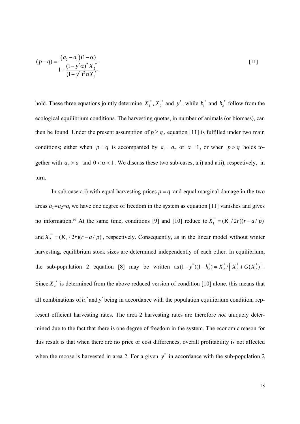$$
(p-q) = \frac{(a_2 - a_1)(1 - \alpha)}{1 + \frac{(1 - y^*)^2 X_2^*}{(1 - y^*)^2 \alpha X_1^*}}
$$
 [11]

hold. These three equations jointly determine  $X_1^*$ ,  $X_2^*$  and  $y^*$ , while  $h_1^*$  and  $h_2^*$  follow from the ecological equilibrium conditions. The harvesting quotas, in number of animals (or biomass), can then be found. Under the present assumption of  $p \ge q$ , equation [11] is fulfilled under two main conditions; either when  $p = q$  is accompanied by  $a_1 = a_2$  or  $\alpha = 1$ , or when  $p > q$  holds together with  $a_2 > a_1$  and  $0 < \alpha < 1$ . We discuss these two sub-cases, a.i) and a.ii), respectively, in turn.

In sub-case a.i) with equal harvesting prices  $p = q$  and equal marginal damage in the two areas  $a_1=a_2=a$ , we have one degree of freedom in the system as equation [11] vanishes and gives no information.<sup>10</sup> At the same time, conditions [9] and [10] reduce to  $X_1^* = (K_1/2r)(r - a/p)$ and  $X_2^* = (K_2 / 2r)(r - a/p)$ , respectively. Consequently, as in the linear model without winter harvesting, equilibrium stock sizes are determined independently of each other. In equilibrium, the sub-population 2 equation [8] may be written  $as(1-y^*)(1-h_2^*) = X_2^*/[X_2^*+G(X_2^*)]$ . Since  $X_2^*$  is determined from the above reduced version of condition [10] alone, this means that all combinations of  $h_2^*$  and  $y^*$  being in accordance with the population equilibrium condition, represent efficient harvesting rates. The area 2 harvesting rates are therefore *not* uniquely determined due to the fact that there is one degree of freedom in the system. The economic reason for this result is that when there are no price or cost differences, overall profitability is not affected when the moose is harvested in area 2. For a given  $y^*$  in accordance with the sub-population 2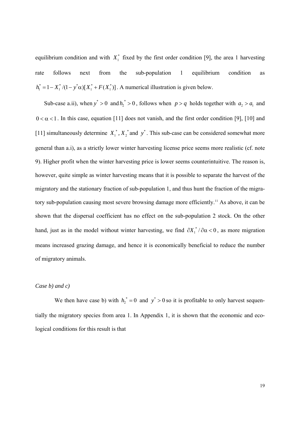equilibrium condition and with  $X_1^*$  fixed by the first order condition [9], the area 1 harvesting rate follows next from the sub-population 1 equilibrium condition as  $h_1^* = 1 - X_1^* / (1 - y^* \alpha) [X_1^* + F(X_1^*)]$ . A numerical illustration is given below.

Sub-case a.ii), when  $y^* > 0$  and  $h_2^* > 0$ , follows when  $p > q$  holds together with  $a_2 > a_1$  and  $0 < \alpha < 1$ . In this case, equation [11] does not vanish, and the first order condition [9], [10] and [11] simultaneously determine  $X_1^*$ ,  $X_2^*$  and  $y^*$ . This sub-case can be considered somewhat more general than a.i), as a strictly lower winter harvesting license price seems more realistic (cf. note 9). Higher profit when the winter harvesting price is lower seems counterintuitive. The reason is, however, quite simple as winter harvesting means that it is possible to separate the harvest of the migratory and the stationary fraction of sub-population 1, and thus hunt the fraction of the migratory sub-population causing most severe browsing damage more efficiently.<sup>11</sup> As above, it can be shown that the dispersal coefficient has no effect on the sub-population 2 stock. On the other hand, just as in the model without winter harvesting, we find  $\partial X_1^* / \partial \alpha < 0$ , as more migration means increased grazing damage, and hence it is economically beneficial to reduce the number of migratory animals.

### *Case b) and c)*

We then have case b) with  $h_2^* = 0$  and  $y^* > 0$  so it is profitable to only harvest sequentially the migratory species from area 1. In Appendix 1, it is shown that the economic and ecological conditions for this result is that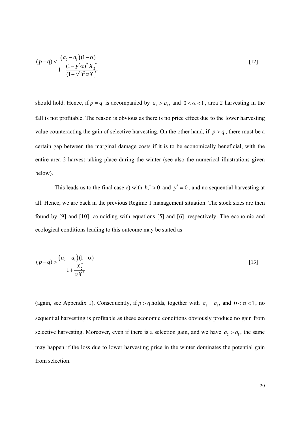$$
(p-q) < \frac{(a_2 - a_1)(1-\alpha)}{1 + \frac{(1 - y^*)^2 X_2^*}{(1 - y^*)^2 \alpha X_1^*}}
$$
 [12]

should hold. Hence, if  $p = q$  is accompanied by  $a_2 > a_1$ , and  $0 < \alpha < 1$ , area 2 harvesting in the fall is not profitable. The reason is obvious as there is no price effect due to the lower harvesting value counteracting the gain of selective harvesting. On the other hand, if  $p > q$ , there must be a certain gap between the marginal damage costs if it is to be economically beneficial, with the entire area 2 harvest taking place during the winter (see also the numerical illustrations given below).

This leads us to the final case c) with  $h_2^* > 0$  and  $y^* = 0$ , and no sequential harvesting at all. Hence, we are back in the previous Regime 1 management situation. The stock sizes are then found by [9] and [10], coinciding with equations [5] and [6], respectively. The economic and ecological conditions leading to this outcome may be stated as

$$
(p-q) > \frac{(a_2 - a_1)(1 - \alpha)}{1 + \frac{X_2^*}{\alpha X_1^*}}
$$
 [13]

(again, see Appendix 1). Consequently, if  $p > q$  holds, together with  $a_2 = a_1$ , and  $0 < \alpha < 1$ , no sequential harvesting is profitable as these economic conditions obviously produce no gain from selective harvesting. Moreover, even if there is a selection gain, and we have  $a_2 > a_1$ , the same may happen if the loss due to lower harvesting price in the winter dominates the potential gain from selection.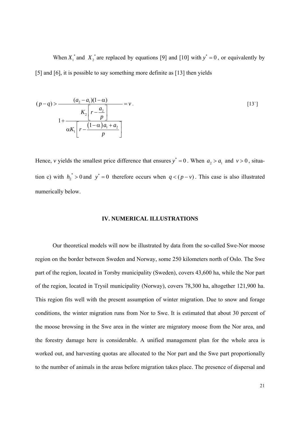When  $X_1^*$  and  $X_2^*$  are replaced by equations [9] and [10] with  $y^* = 0$ , or equivalently by [5] and [6], it is possible to say something more definite as [13] then yields

$$
(p-q) > \frac{(a_2 - a_1)(1-\alpha)}{K_2 \left[r - \frac{a_2}{p}\right]} = v.
$$
\n
$$
1 + \frac{K_2 \left[r - \frac{a_2}{p}\right]}{\alpha K_1 \left[r - \frac{(1-\alpha)a_1 + a_2}{p}\right]}
$$
\n
$$
(13')
$$

Hence, *v* yields the smallest price difference that ensures  $y^* = 0$ . When  $a_2 > a_1$  and  $v > 0$ , situation c) with  $h_2^* > 0$  and  $y^* = 0$  therefore occurs when  $q < (p - v)$ . This case is also illustrated numerically below.

### **IV. NUMERICAL ILLUSTRATIONS**

Our theoretical models will now be illustrated by data from the so-called Swe-Nor moose region on the border between Sweden and Norway, some 250 kilometers north of Oslo. The Swe part of the region, located in Torsby municipality (Sweden), covers 43,600 ha, while the Nor part of the region, located in Trysil municipality (Norway), covers 78,300 ha, altogether 121,900 ha. This region fits well with the present assumption of winter migration. Due to snow and forage conditions, the winter migration runs from Nor to Swe. It is estimated that about 30 percent of the moose browsing in the Swe area in the winter are migratory moose from the Nor area, and the forestry damage here is considerable. A unified management plan for the whole area is worked out, and harvesting quotas are allocated to the Nor part and the Swe part proportionally to the number of animals in the areas before migration takes place. The presence of dispersal and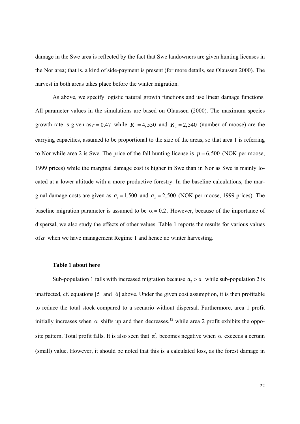damage in the Swe area is reflected by the fact that Swe landowners are given hunting licenses in the Nor area; that is, a kind of side-payment is present (for more details, see Olaussen 2000). The harvest in both areas takes place before the winter migration.

As above, we specify logistic natural growth functions and use linear damage functions. All parameter values in the simulations are based on Olaussen (2000). The maximum species growth rate is given as  $r = 0.47$  while  $K_1 = 4,550$  and  $K_2 = 2,540$  (number of moose) are the carrying capacities, assumed to be proportional to the size of the areas, so that area 1 is referring to Nor while area 2 is Swe. The price of the fall hunting license is  $p = 6,500$  (NOK per moose, 1999 prices) while the marginal damage cost is higher in Swe than in Nor as Swe is mainly located at a lower altitude with a more productive forestry. In the baseline calculations, the marginal damage costs are given as  $a_1 = 1,500$  and  $a_2 = 2,500$  (NOK per moose, 1999 prices). The baseline migration parameter is assumed to be  $\alpha = 0.2$ . However, because of the importance of dispersal, we also study the effects of other values. Table 1 reports the results for various values of  $\alpha$  when we have management Regime 1 and hence no winter harvesting.

#### **Table 1 about here**

Sub-population 1 falls with increased migration because  $a_2 > a_1$  while sub-population 2 is unaffected, cf. equations [5] and [6] above. Under the given cost assumption, it is then profitable to reduce the total stock compared to a scenario without dispersal. Furthermore, area 1 profit initially increases when  $\alpha$  shifts up and then decreases,<sup>12</sup> while area 2 profit exhibits the opposite pattern. Total profit falls. It is also seen that  $\pi_2^*$  becomes negative when  $\alpha$  exceeds a certain (small) value. However, it should be noted that this is a calculated loss, as the forest damage in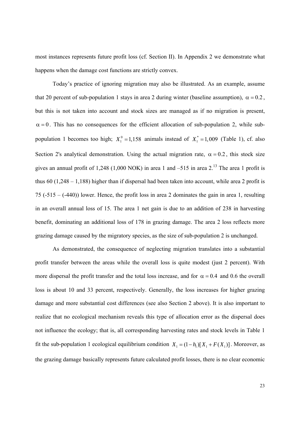most instances represents future profit loss (cf. Section II). In Appendix 2 we demonstrate what happens when the damage cost functions are strictly convex.

Today's practice of ignoring migration may also be illustrated. As an example, assume that 20 percent of sub-population 1 stays in area 2 during winter (baseline assumption),  $\alpha = 0.2$ , but this is not taken into account and stock sizes are managed as if no migration is present,  $\alpha = 0$ . This has no consequences for the efficient allocation of sub-population 2, while subpopulation 1 becomes too high;  $X_1^0 = 1,158$  animals instead of  $X_1^* = 1,009$  (Table 1), cf. also Section 2's analytical demonstration. Using the actual migration rate,  $\alpha = 0.2$ , this stock size gives an annual profit of 1,248 (1,000 NOK) in area 1 and  $-515$  in area  $2<sup>13</sup>$ . The area 1 profit is thus 60 (1,248 – 1,188) higher than if dispersal had been taken into account, while area 2 profit is 75 (-515 – (-440)) lower. Hence, the profit loss in area 2 dominates the gain in area 1, resulting in an overall annual loss of 15. The area 1 net gain is due to an addition of 238 in harvesting benefit, dominating an additional loss of 178 in grazing damage. The area 2 loss reflects more grazing damage caused by the migratory species, as the size of sub-population 2 is unchanged.

As demonstrated, the consequence of neglecting migration translates into a substantial profit transfer between the areas while the overall loss is quite modest (just 2 percent). With more dispersal the profit transfer and the total loss increase, and for  $\alpha = 0.4$  and 0.6 the overall loss is about 10 and 33 percent, respectively. Generally, the loss increases for higher grazing damage and more substantial cost differences (see also Section 2 above). It is also important to realize that no ecological mechanism reveals this type of allocation error as the dispersal does not influence the ecology; that is, all corresponding harvesting rates and stock levels in Table 1 fit the sub-population 1 ecological equilibrium condition  $X_1 = (1 - h_1)[X_1 + F(X_1)]$ . Moreover, as the grazing damage basically represents future calculated profit losses, there is no clear economic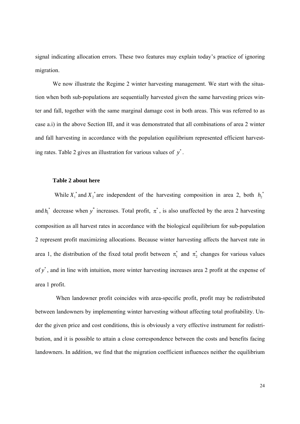signal indicating allocation errors. These two features may explain today's practice of ignoring migration.

We now illustrate the Regime 2 winter harvesting management. We start with the situation when both sub-populations are sequentially harvested given the same harvesting prices winter and fall, together with the same marginal damage cost in both areas. This was referred to as case a.i) in the above Section III, and it was demonstrated that all combinations of area 2 winter and fall harvesting in accordance with the population equilibrium represented efficient harvesting rates. Table 2 gives an illustration for various values of  $y^*$ .

#### **Table 2 about here**

While  $X_1^*$  and  $X_2^*$  are independent of the harvesting composition in area 2, both  $h_2^*$ and  $h_1^*$  decrease when  $y^*$  increases. Total profit,  $\pi^*$ , is also unaffected by the area 2 harvesting composition as all harvest rates in accordance with the biological equilibrium for sub-population 2 represent profit maximizing allocations. Because winter harvesting affects the harvest rate in area 1, the distribution of the fixed total profit between  $\pi_1^*$  and  $\pi_2^*$  changes for various values of y<sup>\*</sup>, and in line with intuition, more winter harvesting increases area 2 profit at the expense of area 1 profit.

 When landowner profit coincides with area-specific profit, profit may be redistributed between landowners by implementing winter harvesting without affecting total profitability. Under the given price and cost conditions, this is obviously a very effective instrument for redistribution, and it is possible to attain a close correspondence between the costs and benefits facing landowners. In addition, we find that the migration coefficient influences neither the equilibrium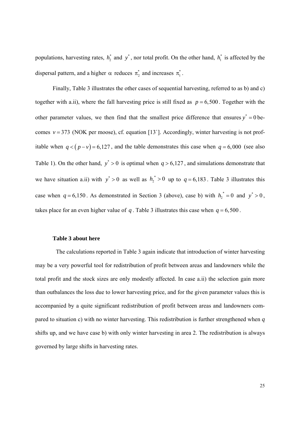populations, harvesting rates,  $h_2^*$  and  $y^*$ , nor total profit. On the other hand,  $h_1^*$  is affected by the dispersal pattern, and a higher  $\alpha$  reduces  $\pi_2^*$  and increases  $\pi_1^*$ .

Finally, Table 3 illustrates the other cases of sequential harvesting, referred to as b) and c) together with a.ii), where the fall harvesting price is still fixed as  $p = 6,500$ . Together with the other parameter values, we then find that the smallest price difference that ensures  $y^* = 0$  becomes  $v = 373$  (NOK per moose), cf. equation [13<sup>'</sup>]. Accordingly, winter harvesting is not profitable when  $q < (p-v) = 6,127$ , and the table demonstrates this case when  $q = 6,000$  (see also Table 1). On the other hand,  $y^* > 0$  is optimal when  $q > 6,127$ , and simulations demonstrate that we have situation a.ii) with  $y^* > 0$  as well as  $h_2^* > 0$  up to  $q = 6,183$ . Table 3 illustrates this case when  $q = 6,150$ . As demonstrated in Section 3 (above), case b) with  $h_2^* = 0$  and  $y^* > 0$ , takes place for an even higher value of  $q$ . Table 3 illustrates this case when  $q = 6,500$ .

#### **Table 3 about here**

 The calculations reported in Table 3 again indicate that introduction of winter harvesting may be a very powerful tool for redistribution of profit between areas and landowners while the total profit and the stock sizes are only modestly affected. In case a.ii) the selection gain more than outbalances the loss due to lower harvesting price, and for the given parameter values this is accompanied by a quite significant redistribution of profit between areas and landowners compared to situation c) with no winter harvesting. This redistribution is further strengthened when *q* shifts up, and we have case b) with only winter harvesting in area 2. The redistribution is always governed by large shifts in harvesting rates.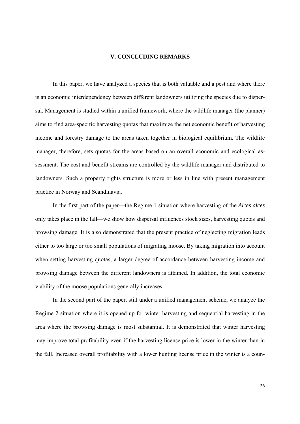#### **V. CONCLUDING REMARKS**

In this paper, we have analyzed a species that is both valuable and a pest and where there is an economic interdependency between different landowners utilizing the species due to dispersal. Management is studied within a unified framework, where the wildlife manager (the planner) aims to find area-specific harvesting quotas that maximize the net economic benefit of harvesting income and forestry damage to the areas taken together in biological equilibrium. The wildlife manager, therefore, sets quotas for the areas based on an overall economic and ecological assessment. The cost and benefit streams are controlled by the wildlife manager and distributed to landowners. Such a property rights structure is more or less in line with present management practice in Norway and Scandinavia.

In the first part of the paper—the Regime 1 situation where harvesting of the *Alces alces* only takes place in the fall—we show how dispersal influences stock sizes, harvesting quotas and browsing damage. It is also demonstrated that the present practice of neglecting migration leads either to too large or too small populations of migrating moose. By taking migration into account when setting harvesting quotas, a larger degree of accordance between harvesting income and browsing damage between the different landowners is attained. In addition, the total economic viability of the moose populations generally increases.

In the second part of the paper, still under a unified management scheme, we analyze the Regime 2 situation where it is opened up for winter harvesting and sequential harvesting in the area where the browsing damage is most substantial. It is demonstrated that winter harvesting may improve total profitability even if the harvesting license price is lower in the winter than in the fall. Increased overall profitability with a lower hunting license price in the winter is a coun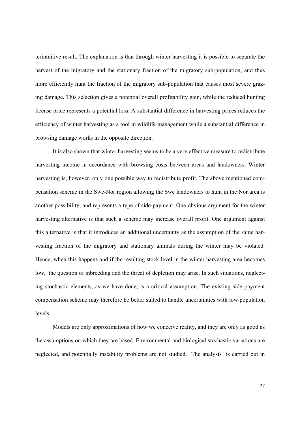terintuitive result. The explanation is that through winter harvesting it is possible to separate the harvest of the migratory and the stationary fraction of the migratory sub-population, and thus more efficiently hunt the fraction of the migratory sub-population that causes most severe grazing damage. This selection gives a potential overall profitability gain, while the reduced hunting license price represents a potential loss. A substantial difference in harvesting prices reduces the efficiency of winter harvesting as a tool in wildlife management while a substantial difference in browsing damage works in the opposite direction.

It is also shown that winter harvesting seems to be a very effective measure to redistribute harvesting income in accordance with browsing costs between areas and landowners. Winter harvesting is, however, only one possible way to redistribute profit. The above mentioned compensation scheme in the Swe-Nor region allowing the Swe landowners to hunt in the Nor area is another possibility, and represents a type of side-payment. One obvious argument for the winter harvesting alternative is that such a scheme may increase overall profit. One argument against this alternative is that it introduces an additional uncertainty as the assumption of the same harvesting fraction of the migratory and stationary animals during the winter may be violated. Hence, when this happens and if the resulting stock level in the winter harvesting area becomes low, the question of inbreeding and the threat of depletion may arise. In such situations, neglecting stochastic elements, as we have done, is a critical assumption. The existing side payment compensation scheme may therefore be better suited to handle uncertainties with low population levels.

Models are only approximations of how we conceive reality, and they are only as good as the assumptions on which they are based. Environmental and biological stochastic variations are neglected, and potentially instability problems are not studied. The analysis is carried out in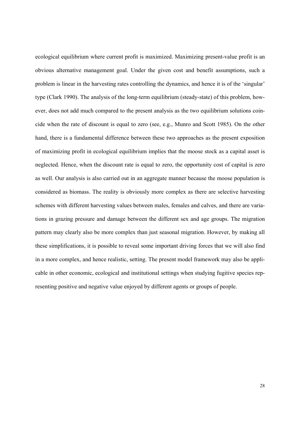ecological equilibrium where current profit is maximized. Maximizing present-value profit is an obvious alternative management goal. Under the given cost and benefit assumptions, such a problem is linear in the harvesting rates controlling the dynamics, and hence it is of the 'singular' type (Clark 1990). The analysis of the long-term equilibrium (steady-state) of this problem, however, does not add much compared to the present analysis as the two equilibrium solutions coincide when the rate of discount is equal to zero (see, e.g., Munro and Scott 1985). On the other hand, there is a fundamental difference between these two approaches as the present exposition of maximizing profit in ecological equilibrium implies that the moose stock as a capital asset is neglected. Hence, when the discount rate is equal to zero, the opportunity cost of capital is zero as well. Our analysis is also carried out in an aggregate manner because the moose population is considered as biomass. The reality is obviously more complex as there are selective harvesting schemes with different harvesting values between males, females and calves, and there are variations in grazing pressure and damage between the different sex and age groups. The migration pattern may clearly also be more complex than just seasonal migration. However, by making all these simplifications, it is possible to reveal some important driving forces that we will also find in a more complex, and hence realistic, setting. The present model framework may also be applicable in other economic, ecological and institutional settings when studying fugitive species representing positive and negative value enjoyed by different agents or groups of people.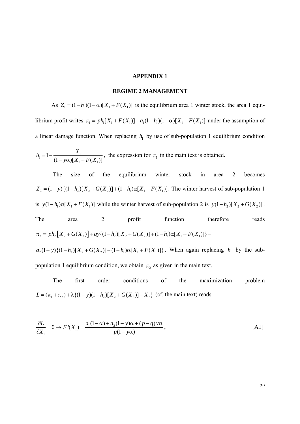#### **APPENDIX 1**

#### **REGIME 2 MANAGEMENT**

As  $Z_1 = (1 - h_1)(1 - \alpha)[X_1 + F(X_1)]$  is the equilibrium area 1 winter stock, the area 1 equilibrium profit writes  $\pi_1 = ph_1[X_1 + F(X_1)] - a_1(1-h_1)(1-\alpha)[X_1 + F(X_1)]$  under the assumption of a linear damage function. When replacing  $h_1$  by use of sub-population 1 equilibrium condition

$$
h_1 = 1 - \frac{X_1}{(1 - y\alpha)[X_1 + F(X_1)]}
$$
, the expression for  $\pi_1$  in the main text is obtained.

 The size of the equilibrium winter stock in area 2 becomes  $Z_2 = (1 - y)\{(1 - h_2)[X_2 + G(X_2)] + (1 - h_1)\alpha[X_1 + F(X_1)]\}$ . The winter harvest of sub-population 1 is  $y(1 - h_1) \alpha [X_1 + F(X_1)]$  while the winter harvest of sub-population 2 is  $y(1 - h_2)[X_2 + G(X_2)]$ . The area 2 profit function therefore reads  $\pi_2 = ph_2 \big[ X_2 + G(X_2) \big] + q y \{ (1-h_2) [X_2 + G(X_2)] + (1-h_1) \alpha [X_1 + F(X_1)] \}$  $a_2(1-y)\{(1-h_2)[X_2+G(X_2)]+(1-h_1)\alpha[X_1+F(X_1)]\}$ . When again replacing  $h_1$  by the subpopulation 1 equilibrium condition, we obtain  $\pi_2$  as given in the main text.

The first order conditions of the maximization problem  $L = (\pi_1 + \pi_2) + \lambda \{ (1 - y)(1 - h_2) [X_2 + G(X_2)] - X_2 \}$  (cf. the main text) reads

$$
\frac{\partial L}{\partial X_1} = 0 \to F'(X_1) = \frac{a_1(1-\alpha) + a_2(1-y)\alpha + (p-q)y\alpha}{p(1-y\alpha)},
$$
\n[A1]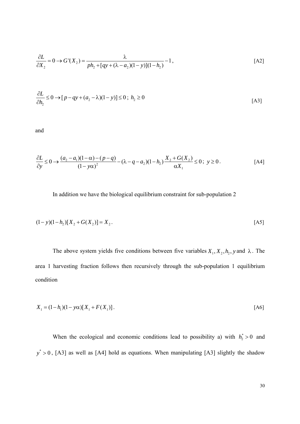$$
\frac{\partial L}{\partial X_2} = 0 \to G'(X_2) = \frac{\lambda}{ph_2 + [qy + (\lambda - a_2)(1 - y)](1 - h_2)} - 1, \tag{A2}
$$

$$
\frac{\partial L}{\partial h_2} \le 0 \to [p - qy + (a_2 - \lambda)(1 - y)] \le 0; \ h_2 \ge 0
$$
 [A3]

and

$$
\frac{\partial L}{\partial y} \le 0 \to \frac{(a_2 - a_1)(1 - \alpha) - (p - q)}{(1 - y\alpha)^2} - (\lambda - q - a_2)(1 - h_2) \frac{X_2 + G(X_2)}{\alpha X_1} \le 0; \ y \ge 0. \tag{A4}
$$

In addition we have the biological equilibrium constraint for sub-population 2

$$
(1 - y)(1 - h_2)[X_2 + G(X_2)] = X_2.
$$
 [A5]

The above system yields five conditions between five variables  $X_1, X_2, h_2, y$  and  $\lambda$ . The area 1 harvesting fraction follows then recursively through the sub-population 1 equilibrium condition

$$
X_1 = (1 - h_1)(1 - y\alpha)[X_1 + F(X_1)].
$$
 [A6]

When the ecological and economic conditions lead to possibility a) with  $h_2^* > 0$  and  $y^* > 0$ , [A3] as well as [A4] hold as equations. When manipulating [A3] slightly the shadow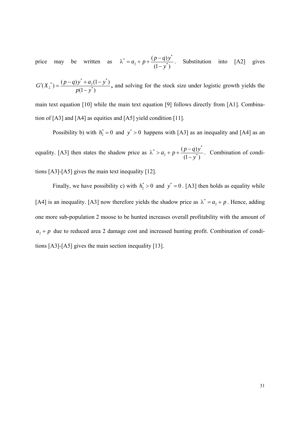price may be written as \*  $=$   $\alpha + n \left( p-q \right) y^*$  $2^{\mu} P^{\mu}$  (1  $\pi^*$  $(p-q)$  $(1 - y^*)$  $a_2 + p + \frac{(p-q)y}{q}$  $\lambda^* = a_2 + p + \frac{(p-q)y^*}{(1-y^*)}$ . Substitution into [A2] gives

$$
G'(X_2^*) = \frac{(p-q)y^* + a_2(1-y^*)}{p(1-y^*)}
$$
, and solving for the stock size under logistic growth yields the main text equation [10] while the main text equation [9] follows directly from [A1]. Combina-

Possibility b) with  $h_2^* = 0$  and  $y^* > 0$  happens with [A3] as an inequality and [A4] as an equality. [A3] then states the shadow price as \*  $\sum_{n=1}^{\infty} (p-q)y^*$  $2^{\mu} P^{\mu}$  (1  $\pi^*$  $(p-q)$  $(1 - y^*)$  $a_2 + p + \frac{(p-q)y}{q}$  $\lambda^* > a_2 + p + \frac{(p-q)y^*}{(1-y^*)}$ . Combination of conditions [A3]-[A5] gives the main text inequality [12].

Finally, we have possibility c) with  $h_2^* > 0$  and  $y^* = 0$ . [A3] then holds as equality while [A4] is an inequality. [A3] now therefore yields the shadow price as  $\lambda^* = a_2 + p$ . Hence, adding one more sub-population 2 moose to be hunted increases overall profitability with the amount of  $a_2 + p$  due to reduced area 2 damage cost and increased hunting profit. Combination of condi-

tions [A3]-[A5] gives the main section inequality [13].

tion of [A3] and [A4] as equities and [A5] yield condition [11].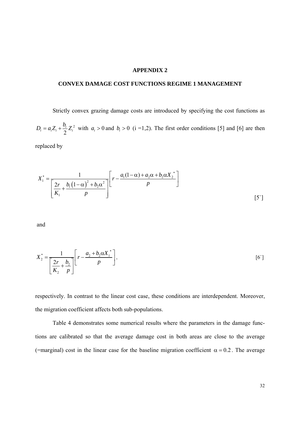## **APPENDIX 2**

#### **CONVEX DAMAGE COST FUNCTIONS REGIME 1 MANAGEMENT**

Strictly convex grazing damage costs are introduced by specifying the cost functions as 2 2  $D_i = a_i Z_i + \frac{b_i}{2} Z_i^2$  with  $a_i > 0$  and  $b_i > 0$  (i =1,2). The first order conditions [5] and [6] are then

replaced by

$$
X_{1}^{*} = \frac{1}{\left[\frac{2r}{K_{1}} + \frac{b_{1}(1-\alpha)^{2} + b_{2}\alpha^{2}}{p}\right]} \left[r - \frac{a_{1}(1-\alpha) + a_{2}\alpha + b_{2}\alpha X_{2}^{*}}{p}\right]
$$
\n
$$
\tag{5'}
$$

and

$$
X_{2}^{*} = \frac{1}{\left[\frac{2r}{K_{2}} + \frac{b_{2}}{p}\right]} \left[r - \frac{a_{2} + b_{2}\alpha X_{1}^{*}}{p}\right],
$$
 [6']

respectively. In contrast to the linear cost case, these conditions are interdependent. Moreover, the migration coefficient affects both sub-populations.

Table 4 demonstrates some numerical results where the parameters in the damage functions are calibrated so that the average damage cost in both areas are close to the average (=marginal) cost in the linear case for the baseline migration coefficient  $\alpha = 0.2$ . The average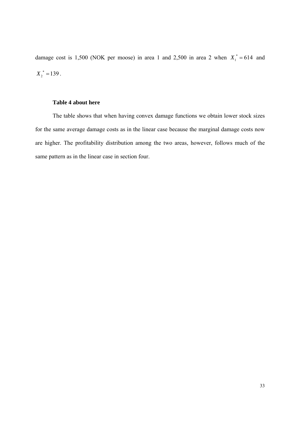damage cost is 1,500 (NOK per moose) in area 1 and 2,500 in area 2 when  $X_1^* = 614$  and  $X_2^* = 139$ .

## **Table 4 about here**

The table shows that when having convex damage functions we obtain lower stock sizes for the same average damage costs as in the linear case because the marginal damage costs now are higher. The profitability distribution among the two areas, however, follows much of the same pattern as in the linear case in section four.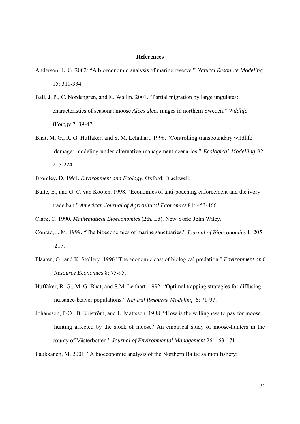#### **References**

- Anderson, L. G. 2002: "A bioeconomic analysis of marine reserve." *Natural Resource Modeling* 15: 311-334.
- Ball, J. P., C. Nordengren, and K. Wallin. 2001. "Partial migration by large ungulates: characteristics of seasonal moose *Alces alces* ranges in northern Sweden." *Wildlife Biology* 7: 39-47.
- Bhat, M. G., R. G. Huffaker, and S. M. Lehnhart. 1996. "Controlling transboundary wildlife damage: modeling under alternative management scenarios." *Ecological Modelling* 92: 215-224.
- Bromley, D. 1991. *Environment and Ecology*. Oxford: Blackwell.
- Bulte, E., and G. C. van Kooten. 1998. "Economics of anti-poaching enforcement and the ivory trade ban." *American Journal of Agricultural Economics* 81: 453-466.

Clark, C. 1990. *Mathematical Bioeconomics* (2th. Ed). New York: John Wiley.

- Conrad, J. M. 1999. "The bioeconomics of marine sanctuaries." *Journal of Bioeconomics* 1: 205 -217.
- Flaaten, O., and K. Stollery. 1996."The economic cost of biological predation." *Environment and Resource Economics* 8: 75-95.
- Huffaker, R. G., M. G. Bhat, and S.M. Lenhart. 1992. "Optimal trapping strategies for diffusing nuisance-beaver populations." *Natural Resource Modeling* 6: 71-97.
- Johansson, P-O., B. Kriström, and L. Mattsson. 1988. "How is the willingness to pay for moose hunting affected by the stock of moose? An empirical study of moose-hunters in the county of Västerbotten." *Journal of Environmental Management* 26: 163-171.

Laukkanen, M. 2001. "A bioeconomic analysis of the Northern Baltic salmon fishery: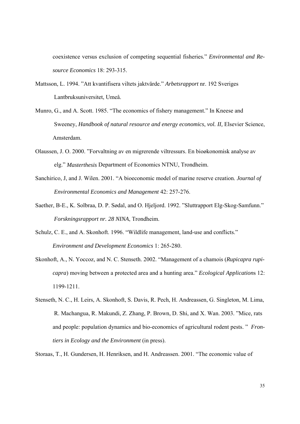coexistence versus exclusion of competing sequential fisheries*.*" *Environmental and Resource Economics* 18: 293-315.

- Mattsson, L. 1994. "Att kvantifisera viltets jaktvärde." *Arbetsrapport* nr. 192 Sveriges Lantbruksuniversitet, Umeå.
- Munro, G., and A. Scott. 1985. "The economics of fishery management." In Kneese and Sweeney, *Handbook of natural resource and energy economics*, *vol. II,* Elsevier Science, Amsterdam.
- Olaussen, J. O. 2000. "Forvaltning av en migrerende viltressurs. En bioøkonomisk analyse av elg." *Masterthesis* Department of Economics NTNU, Trondheim.
- Sanchirico, J, and J. Wilen. 2001. "A bioeconomic model of marine reserve creation. *Journal of Environmental Economics and Management* 42: 257-276.
- Saether, B-E., K. Solbraa, D. P. Sødal, and O. Hjeljord. 1992. "Sluttrapport Elg-Skog-Samfunn." *Forskningsrapport nr. 28 NINA*, Trondheim.
- Schulz, C. E., and A. Skonhoft. 1996. "Wildlife management, land-use and conflicts." *Environment and Development Economics* 1: 265-280.
- Skonhoft, A., N. Yoccoz, and N. C. Stenseth. 2002. "Management of a chamois (*Rupicapra rupicapra*) moving between a protected area and a hunting area." *Ecological Application*s 12: 1199-1211.
- Stenseth, N. C., H. Leirs, A. Skonhoft, S. Davis, R. Pech, H. Andreassen, G. Singleton, M. Lima, R. Machangua, R. Makundi, Z. Zhang, P. Brown, D. Shi, and X. Wan. 2003. "Mice, rats and people: population dynamics and bio-economics of agricultural rodent pests. " *Frontiers in Ecology and the Environment* (in press).

Storaas, T., H. Gundersen, H. Henriksen, and H. Andreassen. 2001. "The economic value of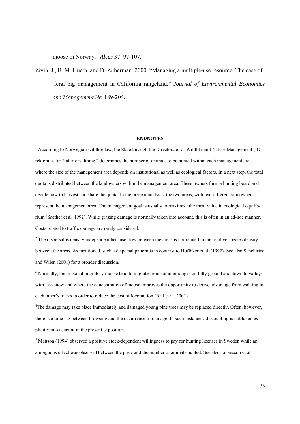moose in Norway." *Alces* 37: 97-107.

 $\overline{a}$ 

Zivin, J., B. M. Hueth, and D. Zilberman. 2000. "Managing a multiple-use resource: The case of feral pig management in California rangeland." *Journal of Environmental Economics and Management* 39: 189-204.

#### **ENDNOTES**

<sup>1</sup> According to Norwegian wildlife law, the State through the Directorate for Wildlife and Nature Management ('Direktoratet for Naturforvaltning') determines the number of animals to be hunted within each management area, where the size of the management area depends on institutional as well as ecological factors. In a next step, the total quota is distributed between the landowners within the management area. These owners form a hunting board and decide how to harvest and share the quota. In the present analysis, the two areas, with two different landowners, represent the management area. The management goal is usually to maximize the meat value in ecological equilibrium (Saether et al. 1992). While grazing damage is normally taken into account, this is often in an ad-hoc manner. Costs related to traffic damage are rarely considered.

 $2^2$  The dispersal is density independent because flow between the areas is not related to the relative species density between the areas. As mentioned, such a dispersal pattern is in contrast to Huffaker et al. (1992). See also Sanchirico and Wilen (2001) for a broader discussion.

<sup>3</sup> Normally, the seasonal migratory moose tend to migrate from summer ranges on hilly ground and down to valleys with less snow and where the concentration of moose improves the opportunity to derive advantage from walking in each other's tracks in order to reduce the cost of locomotion (Ball et al. 2001).

<sup>4</sup>The damage may take place immediately and damaged young pine trees may be replaced directly. Often, however, there is a time lag between browsing and the occurrence of damage. In such instances, discounting is not taken explicitly into account in the present exposition.

<sup>5</sup> Mattson (1994) observed a positive stock-dependent willingness to pay for hunting licenses in Sweden while an ambiguous effect was observed between the price and the number of animals hunted. See also Johansson et al.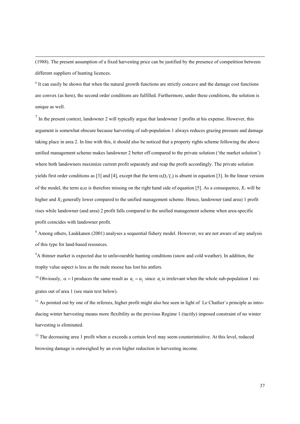(1988). The present assumption of a fixed harvesting price can be justified by the presence of competition between different suppliers of hunting licences.

l

<sup>6</sup> It can easily be shown that when the natural growth functions are strictly concave and the damage cost functions are convex (as here), the second order conditions are fulfilled. Furthermore, under these conditions, the solution is unique as well.

 $<sup>7</sup>$  In the present context, landowner 2 will typically argue that landowner 1 profits at his expense. However, this</sup> argument is somewhat obscure because harvesting of sub-population 1 always reduces grazing pressure and damage taking place in area 2. In line with this, it should also be noticed that a property rights scheme following the above unified management scheme makes landowner 2 better off compared to the private solution ('the market solution') where both landowners maximize current profit separately and reap the profit accordingly. The private solution yields first order conditions as [3] and [4], except that the term  $\alpha D_2'$ . is absent in equation [3]. In the linear version of the model, the term  $a_2\alpha$  is therefore missing on the right hand side of equation [5]. As a consequence,  $X_1$  will be higher and *X*<sub>2</sub> generally lower compared to the unified management scheme. Hence, landowner (and area) 1 profit rises while landowner (and area) 2 profit falls compared to the unified management scheme when area-specific profit coincides with landowner profit.

<sup>8</sup> Among others, Laukkanen (2001) analyses a sequential fishery model. However, we are not aware of any analysis of this type for land-based resources.

<sup>9</sup>A thinner market is expected due to unfavourable hunting conditions (snow and cold weather). In addition, the trophy value aspect is less as the male moose has lost his antlers.

<sup>10</sup> Obviously,  $\alpha = 1$  produces the same result as  $a_1 = a_2$ , since  $a_1$  is irrelevant when the whole sub-population 1 migrates out of area 1 (see main text below).

 $11$  As pointed out by one of the referees, higher profit might also bee seen in light of Le Chatlier's principle as introducing winter harvesting means more flexibility as the previous Regime 1 (tacitly) imposed constraint of no winter harvesting is eliminated.

<sup>12</sup> The decreasing area 1 profit when  $\alpha$  exceeds a certain level may seem counterintuitive. At this level, reduced browsing damage is outweighed by an even higher reduction in harvesting income.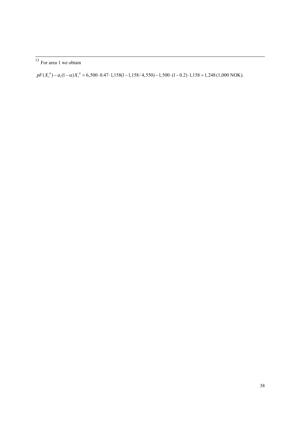$\frac{13}{13}$  For area 1 we obtain

 $pF(X_1^0) - a_1(1-\alpha)X_1^0 = 6,500 \cdot 0.47 \cdot 1,158(1-1,158/4,550) - 1,500 \cdot (1-0.2) \cdot 1,158 = 1,248(1,000 \text{ NOK}).$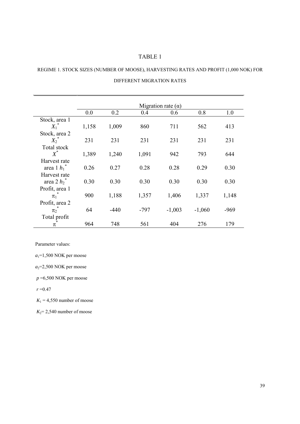# REGIME 1. STOCK SIZES (NUMBER OF MOOSE), HARVESTING RATES AND PROFIT (1,000 NOK) FOR

|                | Migration rate $(\alpha)$ |        |       |          |          |        |
|----------------|---------------------------|--------|-------|----------|----------|--------|
|                | 0.0                       | 0.2    | 0.4   | 0.6      | 0.8      | 1.0    |
| Stock, area 1  |                           |        |       |          |          |        |
| $X_1$          | 1,158                     | 1,009  | 860   | 711      | 562      | 413    |
| Stock, area 2  |                           |        |       |          |          |        |
| $X_2^*$        | 231                       | 231    | 231   | 231      | 231      | 231    |
| Total stock    |                           |        |       |          |          |        |
| $X^*$          | 1,389                     | 1,240  | 1,091 | 942      | 793      | 644    |
| Harvest rate   |                           |        |       |          |          |        |
| area 1 $h_1^*$ | 0.26                      | 0.27   | 0.28  | 0.28     | 0.29     | 0.30   |
| Harvest rate   |                           |        |       |          |          |        |
| area 2 $h_2^*$ | 0.30                      | 0.30   | 0.30  | 0.30     | 0.30     | 0.30   |
| Profit, area 1 |                           |        |       |          |          |        |
| $\pi_1$        | 900                       | 1,188  | 1,357 | 1,406    | 1,337    | 1,148  |
| Profit, area 2 |                           |        |       |          |          |        |
| $\pi_2$        | 64                        | $-440$ | -797  | $-1,003$ | $-1,060$ | $-969$ |
| Total profit   |                           |        |       |          |          |        |
| π              | 964                       | 748    | 561   | 404      | 276      | 179    |

# DIFFERENT MIGRATION RATES

Parameter values:

*a*1=1,500 NOK per moose

*a*2=2,500 NOK per moose

*p* =6,500 NOK per moose

*r* =0.47

 $K_1 = 4,550$  number of moose

 $K_2$ = 2,540 number of moose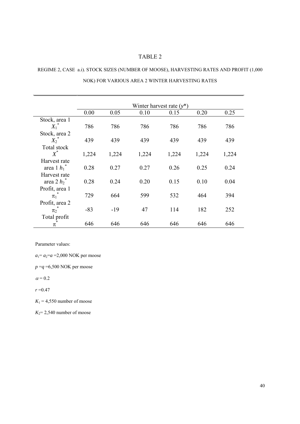### REGIME 2, CASE a.i). STOCK SIZES (NUMBER OF MOOSE), HARVESTING RATES AND PROFIT (1,000

|                           | Winter harvest rate $(y^*)$ |       |       |       |       |       |
|---------------------------|-----------------------------|-------|-------|-------|-------|-------|
|                           | 0.00                        | 0.05  | 0.10  | 0.15  | 0.20  | 0.25  |
| Stock, area 1             |                             |       |       |       |       |       |
| $X_1$                     | 786                         | 786   | 786   | 786   | 786   | 786   |
| Stock, area 2             |                             |       |       |       |       |       |
| $X_2$                     | 439                         | 439   | 439   | 439   | 439   | 439   |
| Total stock               |                             |       |       |       |       |       |
| $\overline{X}^*$          | 1,224                       | 1,224 | 1,224 | 1,224 | 1,224 | 1,224 |
| Harvest rate              |                             |       |       |       |       |       |
| area 1 $h_1$ <sup>*</sup> | 0.28                        | 0.27  | 0.27  | 0.26  | 0.25  | 0.24  |
| Harvest rate              |                             |       |       |       |       |       |
| area 2 $h_2^*$            | 0.28                        | 0.24  | 0.20  | 0.15  | 0.10  | 0.04  |
| Profit, area 1            |                             |       |       |       |       |       |
| $\pi_1$                   | 729                         | 664   | 599   | 532   | 464   | 394   |
| Profit, area 2            |                             |       |       |       |       |       |
| $\pi_2$                   | $-83$                       | $-19$ | 47    | 114   | 182   | 252   |
| Total profit              |                             |       |       |       |       |       |
| π                         | 646                         | 646   | 646   | 646   | 646   | 646   |

# NOK) FOR VARIOUS AREA 2 WINTER HARVESTING RATES

Parameter values:

 $a_1 = a_2 = a = 2,000$  NOK per moose

*p* =*q* =6,500 NOK per moose

 $\alpha$  = 0.2

*r* =0.47

 $K_1$  = 4,550 number of moose

 $K_2$ = 2,540 number of moose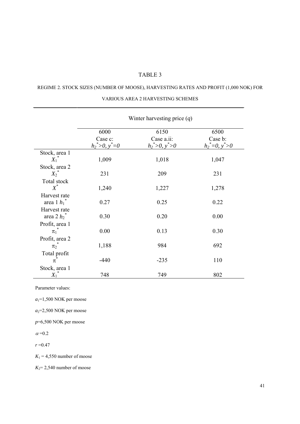# REGIME 2. STOCK SIZES (NUMBER OF MOOSE), HARVESTING RATES AND PROFIT (1,000 NOK) FOR

|                           | Winter harvesting price $(q)$ |                      |                      |  |
|---------------------------|-------------------------------|----------------------|----------------------|--|
|                           | 6000                          | 6150                 | 6500                 |  |
|                           | Case c:                       | Case a.ii:           | Case b:              |  |
|                           | $h_2^* > 0$ , $y^* = 0$       | $h_2^* > 0, y^* > 0$ | $h_2^* = 0, v^* > 0$ |  |
| Stock, area 1             |                               |                      |                      |  |
| $X_1^*$                   | 1,009                         | 1,018                | 1,047                |  |
| Stock, area 2             |                               |                      |                      |  |
| ${X_2}^*$                 | 231                           | 209                  | 231                  |  |
| Total stock               |                               |                      |                      |  |
| $\overline{X}^*$          | 1,240                         | 1,227                | 1,278                |  |
| Harvest rate              |                               |                      |                      |  |
| area 1 $h_1^*$            | 0.27                          | 0.25                 | 0.22                 |  |
| Harvest rate              |                               |                      |                      |  |
| area 2 $h_2$ <sup>*</sup> | 0.30                          | 0.20                 | 0.00                 |  |
| Profit, area 1            |                               |                      |                      |  |
| $\pi_1$                   | 0.00                          | 0.13                 | 0.30                 |  |
| Profit, area 2            |                               |                      |                      |  |
| $\pi_2$                   | 1,188                         | 984                  | 692                  |  |
| Total profit              |                               |                      |                      |  |
| π                         | $-440$                        | $-235$               | 110                  |  |
| Stock, area 1             |                               |                      |                      |  |
| $X_1$                     | 748                           | 749                  | 802                  |  |

## VARIOUS AREA 2 HARVESTING SCHEMES

Parameter values:

*a*1=1,500 NOK per moose

*a*2=2,500 NOK per moose

*p*=6,500 NOK per moose

 $\alpha = 0.2$ 

*r* =0.47

 $K_1$  = 4,550 number of moose

 $K_2$ = 2,540 number of moose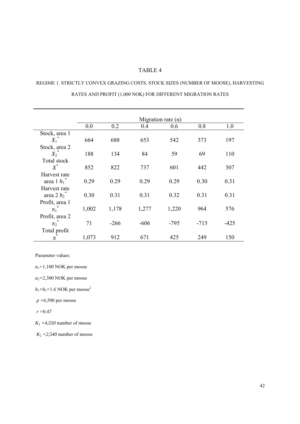# REGIME 1. STRICTLY CONVEX GRAZING COSTS. STOCK SIZES (NUMBER OF MOOSE), HARVESTING RATES AND PROFIT (1,000 NOK) FOR DIFFERENT MIGRATION RATES

|                           | Migration rate $(\alpha)$ |        |        |        |        |      |  |
|---------------------------|---------------------------|--------|--------|--------|--------|------|--|
|                           | 0.0                       | 0.2    | 0.4    | 0.6    | 0.8    | 1.0  |  |
| Stock, area 1             |                           |        |        |        |        |      |  |
| $X_1$                     | 664                       | 688    | 653    | 542    | 373    | 197  |  |
| Stock, area 2             |                           |        |        |        |        |      |  |
| $X_2$                     | 188                       | 134    | 84     | 59     | 69     | 110  |  |
| Total stock               |                           |        |        |        |        |      |  |
| $\overline{X}^*$          | 852                       | 822    | 737    | 601    | 442    | 307  |  |
| Harvest rate              |                           |        |        |        |        |      |  |
| area 1 $h_1$              | 0.29                      | 0.29   | 0.29   | 0.29   | 0.30   | 0.31 |  |
| Harvest rate              |                           |        |        |        |        |      |  |
| area 2 $h_2$ <sup>*</sup> | 0.30                      | 0.31   | 0.31   | 0.32   | 0.31   | 0.31 |  |
| Profit, area 1            |                           |        |        |        |        |      |  |
| $\pi_1$                   | 1,002                     | 1,178  | 1,277  | 1,220  | 964    | 576  |  |
| Profit, area 2            |                           |        |        |        |        |      |  |
| $\pi_2$                   | 71                        | $-266$ | $-606$ | $-795$ | $-715$ | -425 |  |
| Total profit              |                           |        |        |        |        |      |  |
| π                         | 1,073                     | 912    | 671    | 425    | 249    | 150  |  |

Parameter values:

*a*1*=*1,100 NOK per moose

*a*2*=*2,300 NOK per moose

 $b_1 = b_2 = 1.6$  NOK per moose<sup>2</sup>

 *p =*6,500 per moose

 *r =*0.47

 $K_1 = 4,550$  number of moose

 $K_2 = 2,540$  number of moose